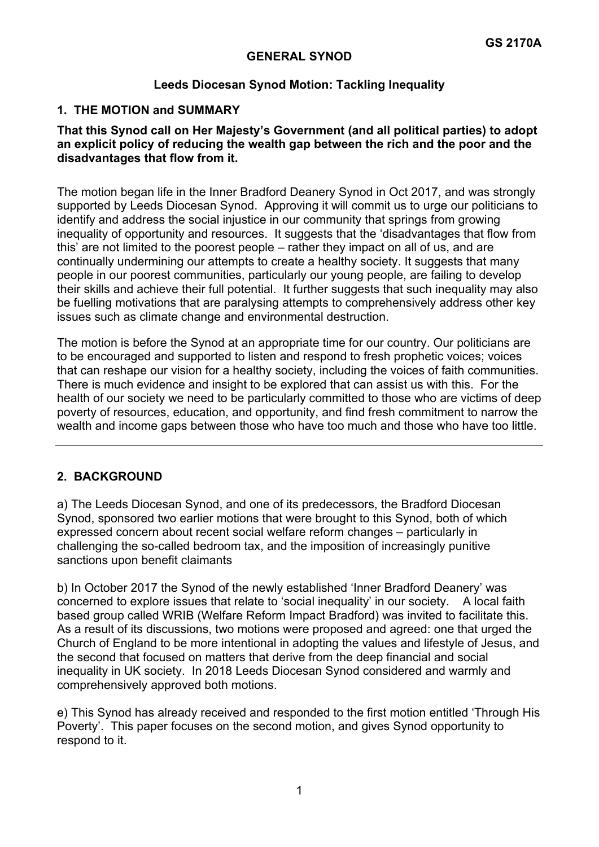### **GENERAL SYNOD**

#### **Leeds Diocesan Synod Motion: Tackling Inequality**

## **1. THE MOTION and SUMMARY**

#### **That this Synod call on Her Majesty's Government (and all political parties) to adopt an explicit policy of reducing the wealth gap between the rich and the poor and the disadvantages that flow from it.**

The motion began life in the Inner Bradford Deanery Synod in Oct 2017, and was strongly supported by Leeds Diocesan Synod. Approving it will commit us to urge our politicians to identify and address the social injustice in our community that springs from growing inequality of opportunity and resources. It suggests that the 'disadvantages that flow from this' are not limited to the poorest people – rather they impact on all of us, and are continually undermining our attempts to create a healthy society. It suggests that many people in our poorest communities, particularly our young people, are failing to develop their skills and achieve their full potential. It further suggests that such inequality may also be fuelling motivations that are paralysing attempts to comprehensively address other key issues such as climate change and environmental destruction.

The motion is before the Synod at an appropriate time for our country. Our politicians are to be encouraged and supported to listen and respond to fresh prophetic voices; voices that can reshape our vision for a healthy society, including the voices of faith communities. There is much evidence and insight to be explored that can assist us with this. For the health of our society we need to be particularly committed to those who are victims of deep poverty of resources, education, and opportunity, and find fresh commitment to narrow the wealth and income gaps between those who have too much and those who have too little.

## **2. BACKGROUND**

a) The Leeds Diocesan Synod, and one of its predecessors, the Bradford Diocesan Synod, sponsored two earlier motions that were brought to this Synod, both of which expressed concern about recent social welfare reform changes – particularly in challenging the so-called bedroom tax, and the imposition of increasingly punitive sanctions upon benefit claimants

b) In October 2017 the Synod of the newly established 'Inner Bradford Deanery' was concerned to explore issues that relate to 'social inequality' in our society. A local faith based group called WRIB (Welfare Reform Impact Bradford) was invited to facilitate this. As a result of its discussions, two motions were proposed and agreed: one that urged the Church of England to be more intentional in adopting the values and lifestyle of Jesus, and the second that focused on matters that derive from the deep financial and social inequality in UK society. In 2018 Leeds Diocesan Synod considered and warmly and comprehensively approved both motions.

e) This Synod has already received and responded to the first motion entitled 'Through His Poverty'. This paper focuses on the second motion, and gives Synod opportunity to respond to it.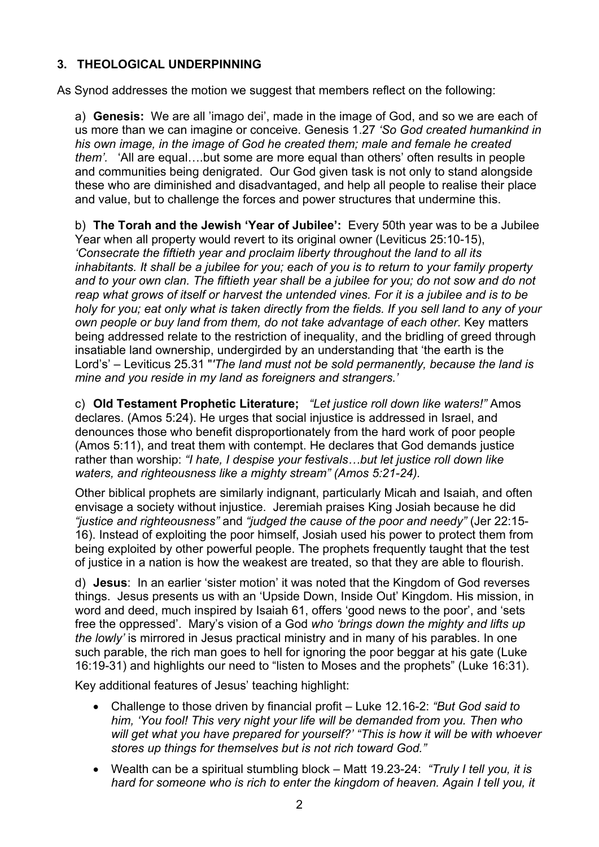# **3. THEOLOGICAL UNDERPINNING**

As Synod addresses the motion we suggest that members reflect on the following:

a) **Genesis:** We are all 'imago dei', made in the image of God, and so we are each of us more than we can imagine or conceive. Genesis 1.27 *'So God created humankind in his own image, in the image of God he created them; male and female he created them'.* 'All are equal….but some are more equal than others' often results in people and communities being denigrated. Our God given task is not only to stand alongside these who are diminished and disadvantaged, and help all people to realise their place and value, but to challenge the forces and power structures that undermine this.

b) **The Torah and the Jewish 'Year of Jubilee':** Every 50th year was to be a Jubilee Year when all property would revert to its original owner (Leviticus 25:10-15), *'Consecrate the fiftieth year and proclaim liberty throughout the land to all its inhabitants. It shall be a jubilee for you; each of you is to return to your family property and to your own clan. The fiftieth year shall be a jubilee for you; do not sow and do not reap what grows of itself or harvest the untended vines. For it is a jubilee and is to be holy for you; eat only what is taken directly from the fields. If you sell land to any of your own people or buy land from them, do not take advantage of each other.* Key matters being addressed relate to the restriction of inequality, and the bridling of greed through insatiable land ownership, undergirded by an understanding that 'the earth is the Lord's' – Leviticus 25.31 "*'The land must not be sold permanently, because the land is mine and you reside in my land as foreigners and strangers.'*

c) **Old Testament Prophetic Literature;** *"Let justice roll down like waters!"* Amos declares. (Amos 5:24). He urges that social injustice is addressed in Israel, and denounces those who benefit disproportionately from the hard work of poor people (Amos 5:11), and treat them with contempt. He declares that God demands justice rather than worship: *"I hate, I despise your festivals…but let justice roll down like waters, and righteousness like a mighty stream" (Amos 5:21-24).*

Other biblical prophets are similarly indignant, particularly Micah and Isaiah, and often envisage a society without injustice. Jeremiah praises King Josiah because he did *"justice and righteousness"* and *"judged the cause of the poor and needy"* (Jer 22:15- 16). Instead of exploiting the poor himself, Josiah used his power to protect them from being exploited by other powerful people. The prophets frequently taught that the test of justice in a nation is how the weakest are treated, so that they are able to flourish.

d) **Jesus**: In an earlier 'sister motion' it was noted that the Kingdom of God reverses things. Jesus presents us with an 'Upside Down, Inside Out' Kingdom. His mission, in word and deed, much inspired by Isaiah 61, offers 'good news to the poor', and 'sets free the oppressed'. Mary's vision of a God *who 'brings down the mighty and lifts up the lowly'* is mirrored in Jesus practical ministry and in many of his parables. In one such parable, the rich man goes to hell for ignoring the poor beggar at his gate (Luke 16:19-31) and highlights our need to "listen to Moses and the prophets" (Luke 16:31).

Key additional features of Jesus' teaching highlight:

- Challenge to those driven by financial profit Luke 12.16-2: *"But God said to him, 'You fool! This very night your life will be demanded from you. Then who will get what you have prepared for yourself?' "This is how it will be with whoever stores up things for themselves but is not rich toward God."*
- Wealth can be a spiritual stumbling block Matt 19.23-24: *"Truly I tell you, it is hard for someone who is rich to enter the kingdom of heaven. Again I tell you, it*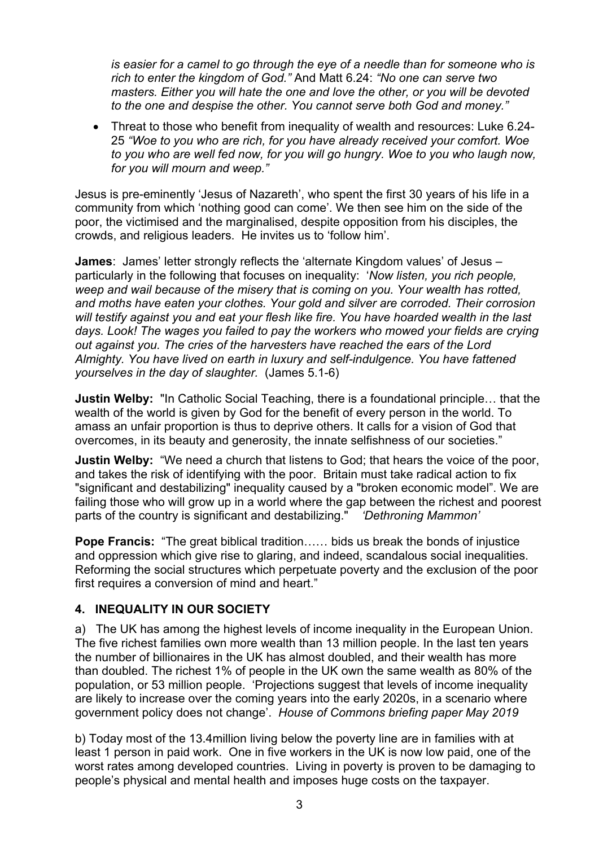*is easier for a camel to go through the eye of a needle than for someone who is rich to enter the kingdom of God."* And Matt 6.24: *"No one can serve two masters. Either you will hate the one and love the other, or you will be devoted to the one and despise the other. You cannot serve both God and money."* 

 Threat to those who benefit from inequality of wealth and resources: Luke 6.24- 25 *"Woe to you who are rich, for you have already received your comfort. Woe to you who are well fed now, for you will go hungry. Woe to you who laugh now, for you will mourn and weep."*

Jesus is pre-eminently 'Jesus of Nazareth', who spent the first 30 years of his life in a community from which 'nothing good can come'. We then see him on the side of the poor, the victimised and the marginalised, despite opposition from his disciples, the crowds, and religious leaders. He invites us to 'follow him'.

**James**: James' letter strongly reflects the 'alternate Kingdom values' of Jesus – particularly in the following that focuses on inequality: '*Now listen, you rich people, weep and wail because of the misery that is coming on you. Your wealth has rotted, and moths have eaten your clothes. Your gold and silver are corroded. Their corrosion will testify against you and eat your flesh like fire. You have hoarded wealth in the last days. Look! The wages you failed to pay the workers who mowed your fields are crying out against you. The cries of the harvesters have reached the ears of the Lord Almighty. You have lived on earth in luxury and self-indulgence. You have fattened yourselves in the day of slaughter.* (James 5.1-6)

**Justin Welby:** "In Catholic Social Teaching, there is a foundational principle… that the wealth of the world is given by God for the benefit of every person in the world. To amass an unfair proportion is thus to deprive others. It calls for a vision of God that overcomes, in its beauty and generosity, the innate selfishness of our societies."

**Justin Welby:** "We need a church that listens to God; that hears the voice of the poor, and takes the risk of identifying with the poor. Britain must take radical action to fix "significant and destabilizing" inequality caused by a "broken economic model". We are failing those who will grow up in a world where the gap between the richest and poorest parts of the country is significant and destabilizing." *'Dethroning Mammon'* 

**Pope Francis:** "The great biblical tradition…… bids us break the bonds of injustice and oppression which give rise to glaring, and indeed, scandalous social inequalities. Reforming the social structures which perpetuate poverty and the exclusion of the poor first requires a conversion of mind and heart."

## **4. INEQUALITY IN OUR SOCIETY**

a) The UK has among the highest levels of income inequality in the European Union. The five richest families own more wealth than 13 million people. In the last ten years the number of billionaires in the UK has almost doubled, and their wealth has more than doubled. The richest 1% of people in the UK own the same wealth as 80% of the population, or 53 million people. 'Projections suggest that levels of income inequality are likely to increase over the coming years into the early 2020s, in a scenario where government policy does not change'. *House of Commons briefing paper May 2019* 

b) Today most of the 13.4million living below the poverty line are in families with at least 1 person in paid work. One in five workers in the UK is now low paid, one of the worst rates among developed countries. Living in poverty is proven to be damaging to people's physical and mental health and imposes huge costs on the taxpayer.